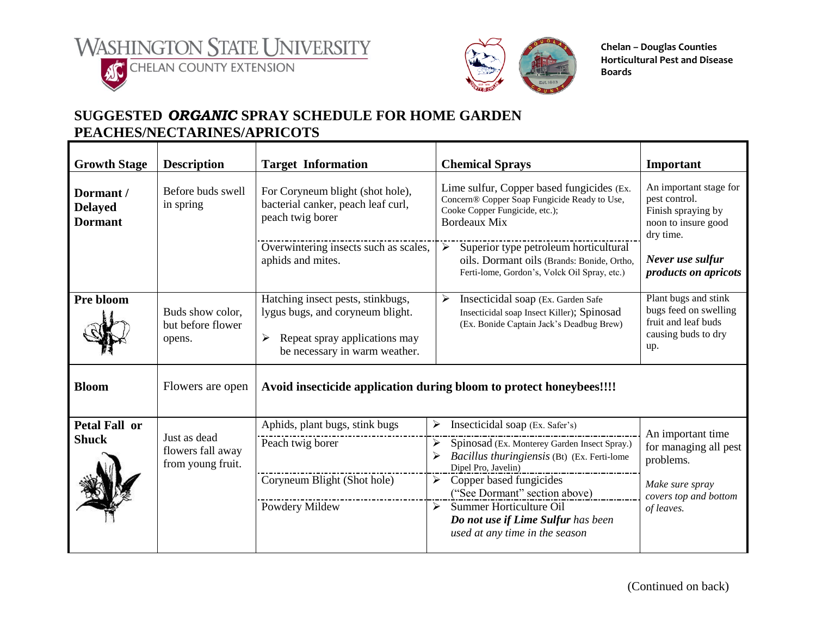



**Chelan – Douglas Counties Horticultural Pest and Disease Boards**

## **SUGGESTED** *ORGANIC* **SPRAY SCHEDULE FOR HOME GARDEN PEACHES/NECTARINES/APRICOTS**

| <b>Growth Stage</b>                           | <b>Description</b>                                     | <b>Target Information</b>                                                                                                                    | <b>Chemical Sprays</b>                                                                                                                                       | Important                                                                                          |  |
|-----------------------------------------------|--------------------------------------------------------|----------------------------------------------------------------------------------------------------------------------------------------------|--------------------------------------------------------------------------------------------------------------------------------------------------------------|----------------------------------------------------------------------------------------------------|--|
| Dormant /<br><b>Delayed</b><br><b>Dormant</b> | Before buds swell<br>in spring                         | For Coryneum blight (shot hole),<br>bacterial canker, peach leaf curl,<br>peach twig borer                                                   | Lime sulfur, Copper based fungicides (Ex.<br>Concern® Copper Soap Fungicide Ready to Use,<br>Cooke Copper Fungicide, etc.);<br><b>Bordeaux Mix</b>           | An important stage for<br>pest control.<br>Finish spraying by<br>noon to insure good<br>dry time.  |  |
|                                               |                                                        | Overwintering insects such as scales,<br>aphids and mites.                                                                                   | Superior type petroleum horticultural<br>$\blacktriangleright$<br>oils. Dormant oils (Brands: Bonide, Ortho,<br>Ferti-lome, Gordon's, Volck Oil Spray, etc.) | Never use sulfur<br>products on apricots                                                           |  |
| Pre bloom                                     | Buds show color,<br>but before flower<br>opens.        | Hatching insect pests, stinkbugs,<br>lygus bugs, and coryneum blight.<br>Repeat spray applications may<br>➤<br>be necessary in warm weather. | ➤<br>Insecticidal soap (Ex. Garden Safe<br>Insecticidal soap Insect Killer); Spinosad<br>(Ex. Bonide Captain Jack's Deadbug Brew)                            | Plant bugs and stink<br>bugs feed on swelling<br>fruit and leaf buds<br>causing buds to dry<br>up. |  |
| <b>Bloom</b>                                  | Flowers are open                                       | Avoid insecticide application during bloom to protect honeybees!!!!                                                                          |                                                                                                                                                              |                                                                                                    |  |
| <b>Petal Fall or</b><br><b>Shuck</b>          | Just as dead<br>flowers fall away<br>from young fruit. | Aphids, plant bugs, stink bugs                                                                                                               | Insecticidal soap (Ex. Safer's)<br>➤                                                                                                                         | An important time<br>for managing all pest<br>problems.                                            |  |
|                                               |                                                        | Peach twig borer                                                                                                                             | Spinosad (Ex. Monterey Garden Insect Spray.)<br>$\blacktriangleright$<br>Bacillus thuringiensis (Bt) (Ex. Ferti-lome<br>➤<br>Dipel Pro, Javelin)             |                                                                                                    |  |
|                                               |                                                        | Coryneum Blight (Shot hole)                                                                                                                  | Copper based fungicides<br>➤<br>("See Dormant" section above)                                                                                                | Make sure spray<br>covers top and bottom<br>of leaves.                                             |  |
|                                               |                                                        | Powdery Mildew                                                                                                                               | Summer Horticulture Oil<br>➤<br>Do not use if Lime Sulfur has been<br>used at any time in the season                                                         |                                                                                                    |  |